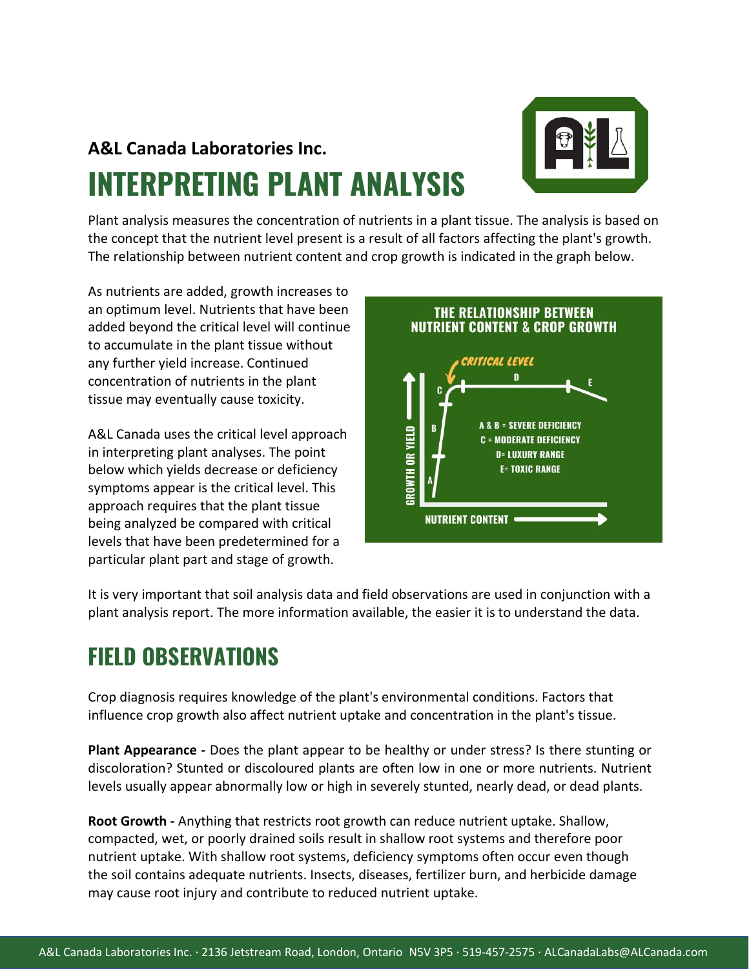# **A&L Canada Laboratories Inc. INTERPRETING PLANT ANALYSIS**



Plant analysis measures the concentration of nutrients in a plant tissue. The analysis is based on the concept that the nutrient level present is a result of all factors affecting the plant's growth. The relationship between nutrient content and crop growth is indicated in the graph below.

As nutrients are added, growth increases to an optimum level. Nutrients that have been added beyond the critical level will continue to accumulate in the plant tissue without any further yield increase. Continued concentration of nutrients in the plant tissue may eventually cause toxicity.

A&L Canada uses the critical level approach in interpreting plant analyses. The point below which yields decrease or deficiency symptoms appear is the critical level. This approach requires that the plant tissue being analyzed be compared with critical levels that have been predetermined for a particular plant part and stage of growth.



It is very important that soil analysis data and field observations are used in conjunction with a plant analysis report. The more information available, the easier it is to understand the data.

#### **FIELD OBSERVATIONS**

Crop diagnosis requires knowledge of the plant's environmental conditions. Factors that influence crop growth also affect nutrient uptake and concentration in the plant's tissue.

**Plant Appearance -** Does the plant appear to be healthy or under stress? Is there stunting or discoloration? Stunted or discoloured plants are often low in one or more nutrients. Nutrient levels usually appear abnormally low or high in severely stunted, nearly dead, or dead plants.

**Root Growth -** Anything that restricts root growth can reduce nutrient uptake. Shallow, compacted, wet, or poorly drained soils result in shallow root systems and therefore poor nutrient uptake. With shallow root systems, deficiency symptoms often occur even though the soil contains adequate nutrients. Insects, diseases, fertilizer burn, and herbicide damage may cause root injury and contribute to reduced nutrient uptake.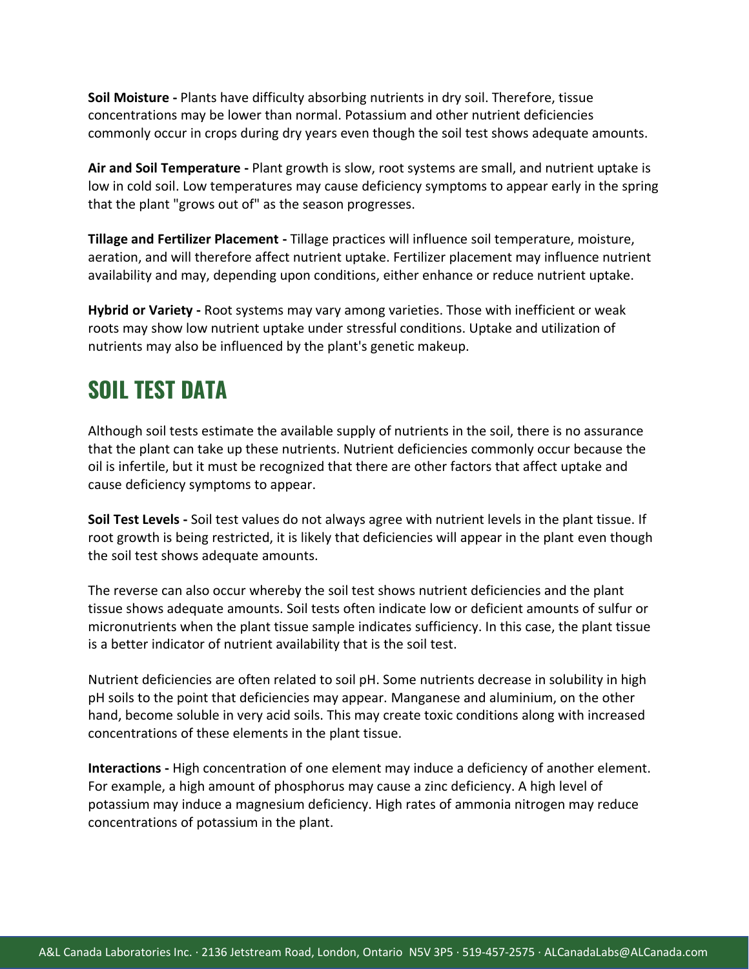**Soil Moisture -** Plants have difficulty absorbing nutrients in dry soil. Therefore, tissue concentrations may be lower than normal. Potassium and other nutrient deficiencies commonly occur in crops during dry years even though the soil test shows adequate amounts.

**Air and Soil Temperature -** Plant growth is slow, root systems are small, and nutrient uptake is low in cold soil. Low temperatures may cause deficiency symptoms to appear early in the spring that the plant "grows out of" as the season progresses.

**Tillage and Fertilizer Placement -** Tillage practices will influence soil temperature, moisture, aeration, and will therefore affect nutrient uptake. Fertilizer placement may influence nutrient availability and may, depending upon conditions, either enhance or reduce nutrient uptake.

**Hybrid or Variety -** Root systems may vary among varieties. Those with inefficient or weak roots may show low nutrient uptake under stressful conditions. Uptake and utilization of nutrients may also be influenced by the plant's genetic makeup.

## **SOIL TEST DATA**

Although soil tests estimate the available supply of nutrients in the soil, there is no assurance that the plant can take up these nutrients. Nutrient deficiencies commonly occur because the oil is infertile, but it must be recognized that there are other factors that affect uptake and cause deficiency symptoms to appear.

**Soil Test Levels -** Soil test values do not always agree with nutrient levels in the plant tissue. If root growth is being restricted, it is likely that deficiencies will appear in the plant even though the soil test shows adequate amounts.

The reverse can also occur whereby the soil test shows nutrient deficiencies and the plant tissue shows adequate amounts. Soil tests often indicate low or deficient amounts of sulfur or micronutrients when the plant tissue sample indicates sufficiency. In this case, the plant tissue is a better indicator of nutrient availability that is the soil test.

Nutrient deficiencies are often related to soil pH. Some nutrients decrease in solubility in high pH soils to the point that deficiencies may appear. Manganese and aluminium, on the other hand, become soluble in very acid soils. This may create toxic conditions along with increased concentrations of these elements in the plant tissue.

**Interactions -** High concentration of one element may induce a deficiency of another element. For example, a high amount of phosphorus may cause a zinc deficiency. A high level of potassium may induce a magnesium deficiency. High rates of ammonia nitrogen may reduce concentrations of potassium in the plant.